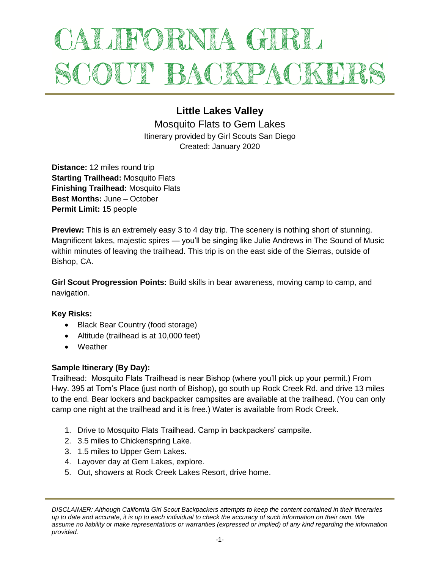# ALIFORNIA GIRL SCOUT BACKPACKEL

# **Little Lakes Valley**

Mosquito Flats to Gem Lakes Itinerary provided by Girl Scouts San Diego Created: January 2020

**Distance:** 12 miles round trip **Starting Trailhead:** Mosquito Flats **Finishing Trailhead:** Mosquito Flats **Best Months:** June – October **Permit Limit:** 15 people

**Preview:** This is an extremely easy 3 to 4 day trip. The scenery is nothing short of stunning. Magnificent lakes, majestic spires — you'll be singing like Julie Andrews in The Sound of Music within minutes of leaving the trailhead. This trip is on the east side of the Sierras, outside of Bishop, CA.

**Girl Scout Progression Points:** Build skills in bear awareness, moving camp to camp, and navigation.

## **Key Risks:**

- Black Bear Country (food storage)
- Altitude (trailhead is at 10,000 feet)
- Weather

## **Sample Itinerary (By Day):**

Trailhead: Mosquito Flats Trailhead is near Bishop (where you'll pick up your permit.) From Hwy. 395 at Tom's Place (just north of Bishop), go south up Rock Creek Rd. and drive 13 miles to the end. Bear lockers and backpacker campsites are available at the trailhead. (You can only camp one night at the trailhead and it is free.) Water is available from Rock Creek.

- 1. Drive to Mosquito Flats Trailhead. Camp in backpackers' campsite.
- 2. 3.5 miles to Chickenspring Lake.
- 3. 1.5 miles to Upper Gem Lakes.
- 4. Layover day at Gem Lakes, explore.
- 5. Out, showers at Rock Creek Lakes Resort, drive home.

*DISCLAIMER: Although California Girl Scout Backpackers attempts to keep the content contained in their itineraries up to date and accurate, it is up to each individual to check the accuracy of such information on their own. We assume no liability or make representations or warranties (expressed or implied) of any kind regarding the information provided.*